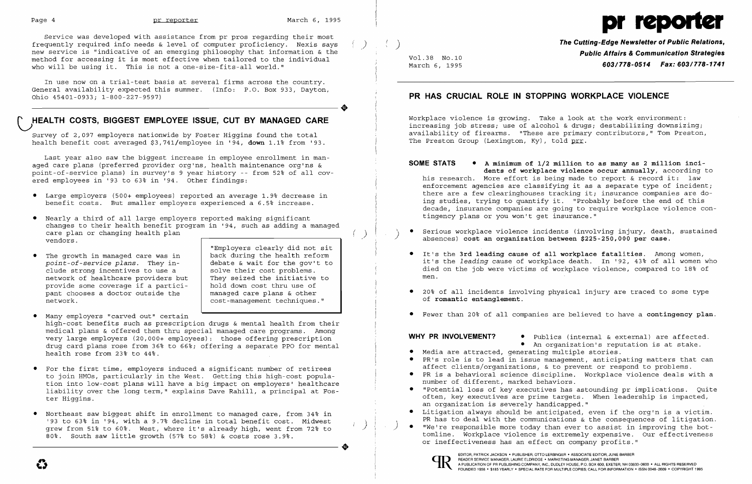$( )$ 

Service was developed with assistance from pr pros regarding their most frequently required info needs & level of computer proficiency. Nexis says ) new service is "indicative of an emerging philosophy that information & the method for accessing it is most effective when tailored to the individual who will be using it. This is not a one-size-fits-all world."

Last year also saw the biggest increase in employee enrollment in man aged care plans (preferred provider org'ns, health maintenance org'ns & point-of-service plans) in survey's 9 year history -- from 52~ of all cov .<br>ered employees in '93 to 63% in '94. Other findings:

In use now on a trial-test basis at several firms across the country. General availability expected this summer. (Info: P.O. Box 933, Dayton, ----------------------+ Ohio 45401-0933; 1-800-227-9597)

### ~HEALTH **COSTS, BIGGEST EMPLOYEE ISSUE, CUT BY MANAGED CARE**

Survey of 2,097 employers nationwide by Foster Hiqqins found the total health benefit cost averaged  $$3, 741/emplope in '94, down 1.1% from '93.$ 

• Many employers "carved out" certain high-cost benefits such as prescription drugs & mental health from their medical plans & offered them thru special managed care programs. Among very large employers (20,000+ employees): those offering prescription drug card plans rose from 36% to 66%; offering a separate PPO for mental health rose from 23% to 44%.

- • For the first time, employers induced a significant number of retirees to join HMOs, particularly in the West. Getting this high-cost population into low-cost plans will have a big impact on employers' healthcare liability over the long term," explains Dave Rahill, a principal at Foster Higgins.
- • Northeast saw biggest shift in enrollment to managed care, from 34~ in '93 to 63% in '94, with a 9.7% decline in total benefit cost. Midwest grew from 51% to 60%. West, where it's already high, went from 72% to 80%. South saw little growth (57% to 58%) & costs rose 3.9%. 80%. South saw little growth (57% to 58%) & costs rose 3.9%.

- • Large employers (500+ employees) reported an average 1.9~ decrease in benefit costs. But smaller employers experienced a 6.5% increase.
- • Nearly a third of all large employers reported making significant changes to their health benefit program in '94, such as adding a managed care plan or changing health plan vendors.
- The growth in managed care was in *point-of-service plans.* They include strong incentives to use a network of healthcare providers but provide some coverage if a participant chooses a doctor outside the network.

Workplace violence is growing. Take a look at the work environment: increasing job stress; use of alcohol & drugs; destabilizing downsizing; availability of firearms. "These are primary contributors," Tom Preston, The Preston Group (Lexington, Ky), told prr.

"Employers clearly did not sit back during the health reform debate & wait for the gov't to solve their cost problems. They seized the initiative to hold down cost thru use of managed care plans & other cost-management techniques."

> ) )



) **The Cutting-Edge Newsletter of Public Relations,**  Vol.38 No.10 **Public Affairs & Communication Strategies**  March 6, 1995 *603/778-0514 Fax: 603/778-1741* 

Serious workplace violence incidents (involving injury, death, sustained absences) cost an organization between \$225-250,000 per case.

It's the **3rd leading cause of all workplace fatalities**. Among women,<br>it's the *leading* cause of workplace death. In '92, 43% of all women who died on the job were victims of workplace violence, compared to 18% of

• Fewer than 20% of all companies are believed to have a contingency plan.

### **PR HAS CRUCIAL ROLE IN STOPPING WORKPLACE VIOLENCE**

**SOME STATS •** A minimum of 1/2 million to as many as 2 million incidents of workplace violence occur annually, according to his research. More effort is being made to report & record it: law enforcement agencies are classifying it as a separate type of incident; there are a few clearinghouses tracking it; insurance companies are doing studies, trying to quantify it. "Probably before the end of this decade, insurance companies are going to require workplace violence contingency plans or you won't get insurance."

- 
- It's the 3rd leading cause of all workplace fatalities. Among women, men.
- 20% of all incidents involving physical injury are traced to some type of romantic entanglement.
- 

**WHY PR INVOLVEMENT?** • Publics (internal & external) are affected. • An organization's reputation is at stake.

affect clients/organizations, & to prevent or respond to problems. • PR is a behavioral science discipline. Workplace violence deals with a

• "Potential loss of key executives has astounding pr implications. Quite often, key executives are prime targets. When leadership is impacted,

- 
- • Media are attracted, generating multiple stories.
- • PR's role is to lead in issue management, anticipating matters that can
- number of different, marked behaviors.
- an organization is severely handicapped."
- 
- or ineffectiveness has an effect on company profits."



• Litigation always should be anticipated, even if the org'n is a victim. PR has to deal with the communications & the consequences of litigation. "We're responsible more today than ever to assist in improving the bottomline. Workplace violence is extremely expensive. Our effectiveness